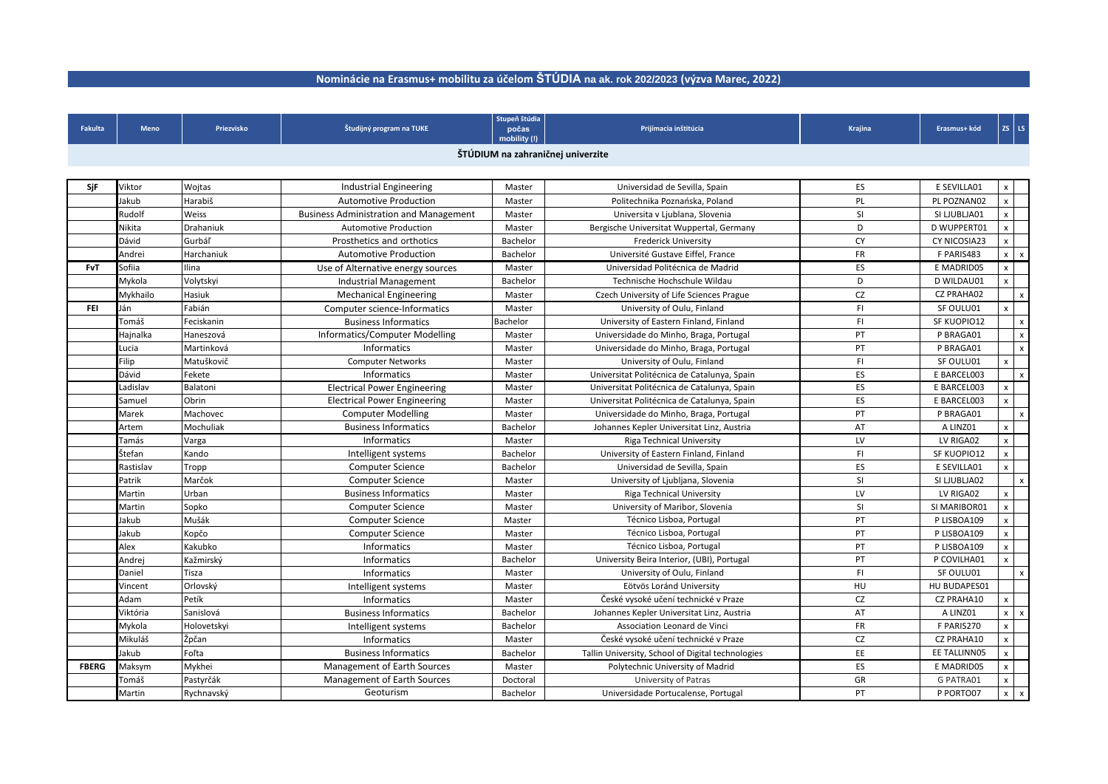| <b>Fakulta</b> | <b>Meno</b>                       | Priezvisko  | Študijný program na TUKE                                    | Stupeň štúdia<br>počas<br>mobility (!) | Prijímacia inštitúcia                             | Krajina        | Erasmus+ kód      |                    | $ZS$ $LS$    |
|----------------|-----------------------------------|-------------|-------------------------------------------------------------|----------------------------------------|---------------------------------------------------|----------------|-------------------|--------------------|--------------|
|                | ŠTÚDIUM na zahraničnej univerzite |             |                                                             |                                        |                                                   |                |                   |                    |              |
|                |                                   |             |                                                             |                                        |                                                   |                |                   |                    |              |
| SjF            | Viktor                            | Wojtas      | <b>Industrial Engineering</b>                               | Master                                 | Universidad de Sevilla, Spain                     | ES.            | E SEVILLA01       | X                  |              |
|                | Jakub                             | Harabiš     | <b>Automotive Production</b>                                | Master                                 | Politechnika Poznańska, Poland                    | PL.            | PL POZNAN02       | X                  |              |
|                | Rudolf                            | Weiss       | <b>Business Administration and Management</b>               | Master                                 | Universita v Ljublana, Slovenia                   | <b>SI</b>      | SI LJUBLJA01      | $\mathsf{X}$       |              |
|                | Nikita                            | Drahaniuk   | <b>Automotive Production</b>                                | Master                                 | Bergische Universitat Wuppertal, Germany          | D              | D WUPPERT01       | X                  |              |
|                | Dávid                             | Gurbáľ      | Prosthetics and orthotics                                   | Bachelor                               | <b>Frederick University</b>                       | <b>CY</b>      | CY NICOSIA23      | X                  |              |
|                | Andrei                            | Harchaniuk  | <b>Automotive Production</b>                                | Bachelor                               | Université Gustave Eiffel, France                 | <b>FR</b>      | F PARIS483        | x                  | $\mathbf{x}$ |
| <b>FvT</b>     | Sofiia                            | Ilina       | Use of Alternative energy sources                           | Master                                 | Universidad Politécnica de Madrid                 | ES             | E MADRID05        | $\pmb{\mathsf{X}}$ |              |
|                | Mykola                            | Volytskyi   | Industrial Management                                       | Bachelor                               | Technische Hochschule Wildau                      | D              | D WILDAU01        | $\pmb{\mathsf{X}}$ |              |
|                | Mykhailo                          | Hasiuk      | <b>Mechanical Engineering</b>                               | Master                                 | Czech University of Life Sciences Prague          | CZ             | <b>CZ PRAHA02</b> |                    |              |
| <b>FEI</b>     | Ján                               | Fabián      |                                                             |                                        | University of Oulu, Finland                       | F <sub>1</sub> | SF OULU01         |                    | $\mathbf{x}$ |
|                | Tomáš                             | Feciskanin  | Computer science-Informatics<br><b>Business Informatics</b> | Master                                 | University of Eastern Finland, Finland            | F1             | SF KUOPIO12       | $\pmb{\mathsf{X}}$ |              |
|                |                                   |             |                                                             | Bachelor                               |                                                   |                |                   |                    | $\mathsf{x}$ |
|                | Hajnalka                          | Haneszová   | Informatics/Computer Modelling                              | Master                                 | Universidade do Minho, Braga, Portugal            | PT             | P BRAGA01         |                    | $\mathsf{x}$ |
|                | Lucia                             | Martinková  | <b>Informatics</b>                                          | Master                                 | Universidade do Minho, Braga, Portugal            | PT             | P BRAGA01         |                    | $\mathsf{x}$ |
|                | Filip                             | Matuškovič  | <b>Computer Networks</b>                                    | Master                                 | University of Oulu, Finland                       | F <sub>1</sub> | SF OULU01         | $\pmb{\mathsf{X}}$ |              |
|                | Dávid                             | Fekete      | <b>Informatics</b>                                          | Master                                 | Universitat Politécnica de Catalunya, Spain       | ES             | E BARCEL003       |                    | $\mathsf{x}$ |
|                | Ladislav                          | Balatoni    | <b>Electrical Power Engineering</b>                         | Master                                 | Universitat Politécnica de Catalunya, Spain       | <b>ES</b>      | E BARCEL003       | $\mathsf{X}^-$     |              |
|                | Samuel                            | Obrin       | <b>Electrical Power Engineering</b>                         | Master                                 | Universitat Politécnica de Catalunya, Spain       | ES             | E BARCEL003       | X                  |              |
|                | Marek                             | Machovec    | <b>Computer Modelling</b>                                   | Master                                 | Universidade do Minho, Braga, Portugal            | PT             | P BRAGA01         |                    | $\mathbf{x}$ |
|                | Artem                             | Mochuliak   | <b>Business Informatics</b>                                 | Bachelor                               | Johannes Kepler Universitat Linz, Austria         | AT             | A LINZ01          | $\pmb{\mathsf{X}}$ |              |
|                | Tamás                             | Varga       | <b>Informatics</b>                                          | Master                                 | <b>Riga Technical University</b>                  | LV             | LV RIGA02         | X                  |              |
|                | Štefan                            | Kando       | Intelligent systems                                         | Bachelor                               | University of Eastern Finland, Finland            | F <sub>1</sub> | SF KUOPIO12       | X                  |              |
|                | Rastislav                         | Tropp       | <b>Computer Science</b>                                     | Bachelor                               | Universidad de Sevilla, Spain                     | ES             | E SEVILLA01       | X                  |              |
|                | Patrik                            | Marčok      | <b>Computer Science</b>                                     | Master                                 | University of Ljubljana, Slovenia                 | <b>SI</b>      | SI LJUBLJA02      |                    | $\mathbf{x}$ |
|                | Martin                            | Urban       | <b>Business Informatics</b>                                 | Master                                 | Riga Technical University                         | LV             | LV RIGA02         | $\mathsf{x}$       |              |
|                | Martin                            | Sopko       | <b>Computer Science</b>                                     | Master                                 | University of Maribor, Slovenia                   | SI             | SI MARIBOR01      | $\mathsf{X}$       |              |
|                | Jakub                             | Mušák       | <b>Computer Science</b>                                     | Master                                 | Técnico Lisboa, Portugal                          | PT             | P LISBOA109       | <b>X</b>           |              |
|                | Jakub                             | Kopčo       | <b>Computer Science</b>                                     | Master                                 | Técnico Lisboa, Portugal                          | PT             | P LISBOA109       | X                  |              |
|                | Alex                              | Kakubko     | <b>Informatics</b>                                          | Master                                 | Técnico Lisboa, Portugal                          | PT             | P LISBOA109       | X                  |              |
|                | Andrej                            | Kažmirský   | Informatics                                                 | Bachelor                               | University Beira Interior, (UBI), Portugal        | PT             | P COVILHA01       | x                  |              |
|                | Daniel                            | Tisza       | Informatics                                                 | Master                                 | University of Oulu, Finland                       | F1             | SF OULU01         |                    | $\mathbf{x}$ |
|                | Vincent                           | Orlovský    | Intelligent systems                                         | Master                                 | Eötvös Loránd University                          | HU             | HU BUDAPES01      |                    |              |
|                | Adam                              | Petík       | Informatics                                                 | Master                                 | České vysoké učení technické v Praze              | CZ             | CZ PRAHA10        | X                  |              |
|                | Viktória                          | Sanislová   | <b>Business Informatics</b>                                 | Bachelor                               | Johannes Kepler Universitat Linz, Austria         | AT             | A LINZ01          | $x \mid$           | $\mathbf{X}$ |
|                | Mykola                            | Holovetskyi | Intelligent systems                                         | Bachelor                               | Association Leonard de Vinci                      | <b>FR</b>      | F PARIS270        | X                  |              |
|                | Mikuláš                           | Žpčan       | Informatics                                                 | Master                                 | České vysoké učení technické v Praze              | CZ             | CZ PRAHA10        | <b>X</b>           |              |
|                | Jakub                             | Foľta       | <b>Business Informatics</b>                                 | Bachelor                               | Tallin University, School of Digital technologies | EE             | EE TALLINN05      | x                  |              |
| <b>FBERG</b>   | Maksym                            | Mykhei      | Management of Earth Sources                                 | Master                                 | Polytechnic University of Madrid                  | ES             | E MADRID05        | X                  |              |
|                | Tomáš                             | Pastyrčák   | <b>Management of Earth Sources</b>                          | Doctoral                               | University of Patras                              | GR             | G PATRA01         | <b>X</b>           |              |
|                | Martin                            | Rychnavský  | Geoturism                                                   | Bachelor                               | Universidade Portucalense, Portugal               | PT             | P PORTO07         | $x \mid$           | $\mathbf{x}$ |

## **Nominácie na Erasmus+ mobilitu za účelom ŠTÚDIA na ak. rok 202/2023 (výzva Marec, 2022)**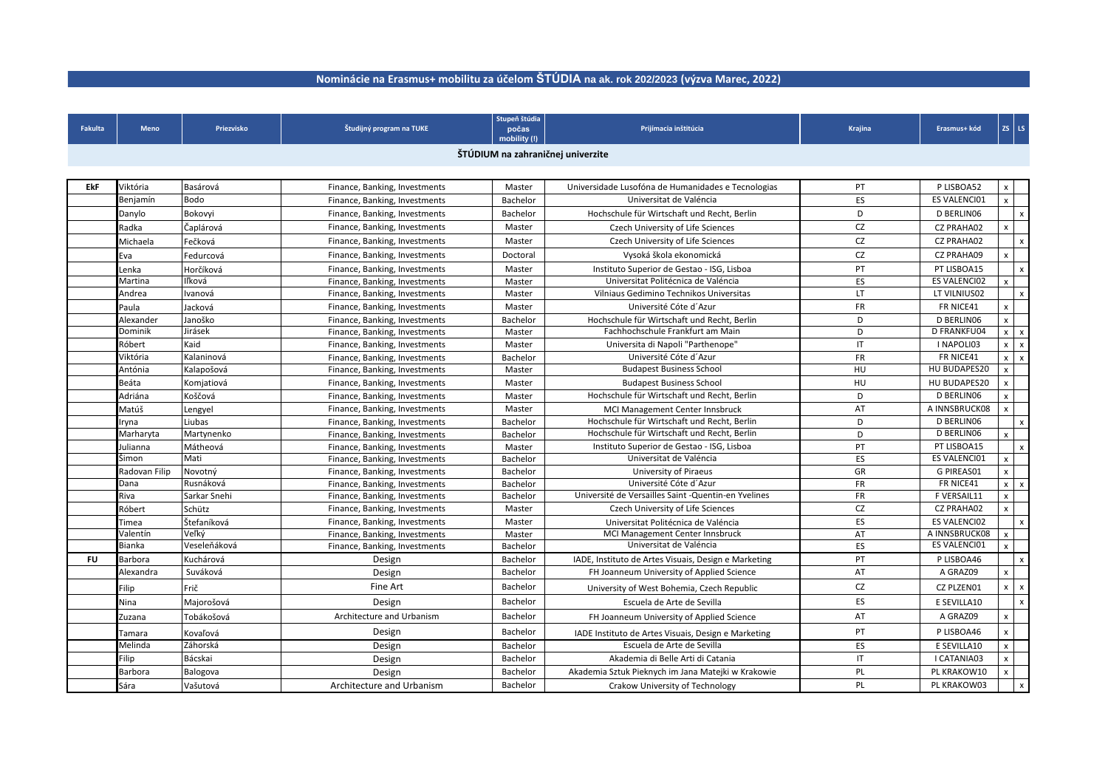## **Nominácie na Erasmus+ mobilitu za účelom ŠTÚDIA na ak. rok 202/2023 (výzva Marec, 2022)**

| <b>Fakulta</b> | <b>Meno</b>                       | Priezvisko   | Študijný program na TUKE      | Stupeň štúdia<br>počas<br>mobility (!) | Prijímacia inštitúcia                                | Krajina   | Erasmus+ kód        |                           | $ZS$ LS                   |  |
|----------------|-----------------------------------|--------------|-------------------------------|----------------------------------------|------------------------------------------------------|-----------|---------------------|---------------------------|---------------------------|--|
|                | ŠTÚDIUM na zahraničnej univerzite |              |                               |                                        |                                                      |           |                     |                           |                           |  |
|                |                                   |              |                               |                                        |                                                      |           |                     |                           |                           |  |
| <b>EkF</b>     | Viktória                          | Basárová     | Finance, Banking, Investments | Master                                 | Universidade Lusofóna de Humanidades e Tecnologias   | PT        | P LISBOA52          | X                         |                           |  |
|                | Benjamín                          | <b>Bodo</b>  | Finance, Banking, Investments | Bachelor                               | Universitat de Valéncia                              | ES        | <b>ES VALENCIO1</b> | $\boldsymbol{\mathsf{x}}$ |                           |  |
|                | Danylo                            | Bokovyi      | Finance, Banking, Investments | Bachelor                               | Hochschule für Wirtschaft und Recht, Berlin          | D         | D BERLINO6          |                           | $\boldsymbol{\mathsf{x}}$ |  |
|                |                                   |              |                               |                                        |                                                      |           |                     |                           |                           |  |
|                | Radka                             | Čaplárová    | Finance, Banking, Investments | Master                                 | <b>Czech University of Life Sciences</b>             | <b>CZ</b> | <b>CZ PRAHA02</b>   | X                         |                           |  |
|                | Michaela                          | Fečková      | Finance, Banking, Investments | Master                                 | Czech University of Life Sciences                    | CZ        | <b>CZ PRAHA02</b>   |                           | $\mathsf{x}$              |  |
|                | Eva                               | Fedurcová    | Finance, Banking, Investments | Doctoral                               | Vysoká škola ekonomická                              | <b>CZ</b> | <b>CZ PRAHA09</b>   |                           |                           |  |
|                | Lenka                             | Horčíková    | Finance, Banking, Investments | Master                                 | Instituto Superior de Gestao - ISG, Lisboa           | PT        | PT LISBOA15         |                           | $\mathsf{x}$              |  |
|                | Martina                           | Iľková       | Finance, Banking, Investments | Master                                 | Universitat Politécnica de Valéncia                  | ES        | <b>ES VALENCIO2</b> | $\mathsf{x}$              |                           |  |
|                | Andrea                            | Ivanová      | Finance, Banking, Investments | Master                                 | Vilniaus Gedimino Technikos Universitas              | LT        | LT VILNIUS02        |                           | $\mathsf{x}$              |  |
|                | Paula                             | Jacková      | Finance, Banking, Investments | Master                                 | Université Cóte d'Azur                               | <b>FR</b> | FR NICE41           |                           |                           |  |
|                | Alexander                         | Janoško      | Finance, Banking, Investments | Bachelor                               | Hochschule für Wirtschaft und Recht, Berlin          | D         | D BERLINO6          |                           |                           |  |
|                | Dominik                           | Jirásek      | Finance, Banking, Investments | Master                                 | Fachhochschule Frankfurt am Main                     | D         | <b>D FRANKFU04</b>  |                           | $x \mid x$                |  |
|                | Róbert                            | Kaid         | Finance, Banking, Investments | Master                                 | Universita di Napoli "Parthenope"                    | IT        | I NAPOLI03          | $\mathsf{x}$              | $\mathsf{X}$              |  |
|                | Viktória                          | Kalaninová   | Finance, Banking, Investments | Bachelor                               | Université Cóte d'Azur                               | <b>FR</b> | FR NICE41           | $\mathsf{x}$              | $\mathsf{X}$              |  |
|                | Antónia                           | Kalapošová   | Finance, Banking, Investments | Master                                 | <b>Budapest Business School</b>                      | HU        | HU BUDAPES20        |                           |                           |  |
|                | Beáta                             | Komjatiová   | Finance, Banking, Investments | Master                                 | <b>Budapest Business School</b>                      | HU        | HU BUDAPES20        |                           |                           |  |
|                | Adriána                           | Koščová      | Finance, Banking, Investments | Master                                 | Hochschule für Wirtschaft und Recht, Berlin          | D         | D BERLINO6          |                           |                           |  |
|                | Matúš                             | Lengyel      | Finance, Banking, Investments | Master                                 | MCI Management Center Innsbruck                      | AT        | A INNSBRUCK08       |                           |                           |  |
|                | Iryna                             | Liubas       | Finance, Banking, Investments | Bachelor                               | Hochschule für Wirtschaft und Recht, Berlin          | D         | D BERLINO6          |                           | $\mathsf{x}$              |  |
|                | Marharyta                         | Martynenko   | Finance, Banking, Investments | Bachelor                               | Hochschule für Wirtschaft und Recht, Berlin          | D         | D BERLINO6          |                           |                           |  |
|                | Julianna                          | Mátheová     | Finance, Banking, Investments | Master                                 | Instituto Superior de Gestao - ISG, Lisboa           | PT        | PT LISBOA15         |                           | $\mathsf{x}$              |  |
|                | Simon                             | Mati         | Finance, Banking, Investments | Bachelor                               | Universitat de Valéncia                              | ES        | ES VALENCI01        | $\boldsymbol{\mathsf{x}}$ |                           |  |
|                | Radovan Filip                     | Novotný      | Finance, Banking, Investments | Bachelor                               | University of Piraeus                                | <b>GR</b> | G PIREAS01          |                           |                           |  |
|                | Dana                              | Rusnáková    | Finance, Banking, Investments | Bachelor                               | Université Cóte d'Azur                               | <b>FR</b> | FR NICE41           |                           | $x \mid x$                |  |
|                | Riva                              | Sarkar Snehi | Finance, Banking, Investments | Bachelor                               | Université de Versailles Saint - Quentin-en Yvelines | <b>FR</b> | F VERSAIL11         | $\lambda$                 |                           |  |
|                | Róbert                            | Schütz       | Finance, Banking, Investments | Master                                 | Czech University of Life Sciences                    | <b>CZ</b> | <b>CZ PRAHA02</b>   | $\mathsf{x}$              |                           |  |
|                | Timea                             | Štefaníková  | Finance, Banking, Investments | Master                                 | Universitat Politécnica de Valéncia                  | <b>ES</b> | ES VALENCI02        |                           | $\mathsf{x}$              |  |
|                | Valentín                          | Veľký        | Finance, Banking, Investments | Master                                 | MCI Management Center Innsbruck                      | AT        | A INNSBRUCK08       | $\mathsf{x}$              |                           |  |
|                | Bianka                            | Veseleňáková | Finance, Banking, Investments | Bachelor                               | Universitat de Valéncia                              | <b>ES</b> | ES VALENCI01        |                           |                           |  |
| <b>FU</b>      | <b>Barbora</b>                    | Kuchárová    | Design                        | Bachelor                               | IADE, Instituto de Artes Visuais, Design e Marketing | PT        | P LISBOA46          |                           | $\mathbf{x}$              |  |
|                | Alexandra                         | Suváková     | Design                        | Bachelor                               | FH Joanneum University of Applied Science            | AT        | A GRAZ09            | $\mathsf{x}$              |                           |  |
|                | Filip                             | Frič         | Fine Art                      | Bachelor                               | University of West Bohemia, Czech Republic           | CZ        | CZ PLZEN01          | x                         | $\mathbf{x}$              |  |
|                | Nina                              | Majorošová   | Design                        | Bachelor                               | Escuela de Arte de Sevilla                           | <b>ES</b> | E SEVILLA10         |                           | $\mathsf{X}$              |  |
|                | Zuzana                            | Tobákošová   | Architecture and Urbanism     | Bachelor                               | FH Joanneum University of Applied Science            | AT        | A GRAZ09            |                           |                           |  |
|                | Tamara                            | Kovaľová     | Design                        | Bachelor                               | IADE Instituto de Artes Visuais, Design e Marketing  | PT        | P LISBOA46          |                           |                           |  |
|                | Melinda                           | Záhorská     | Design                        | Bachelor                               | Escuela de Arte de Sevilla                           | ES        | E SEVILLA10         |                           |                           |  |
|                | Filip                             | Bácskai      | Design                        | Bachelor                               | Akademia di Belle Arti di Catania                    | IT        | I CATANIA03         |                           |                           |  |
|                | Barbora                           | Balogova     | Design                        | Bachelor                               | Akademia Sztuk Pieknych im Jana Matejki w Krakowie   | PL        | PL KRAKOW10         |                           |                           |  |
|                | Sára                              | Vašutová     | Architecture and Urbanism     | Bachelor                               | Crakow University of Technology                      | PL        | PL KRAKOW03         |                           | $\mathbf{x}$              |  |